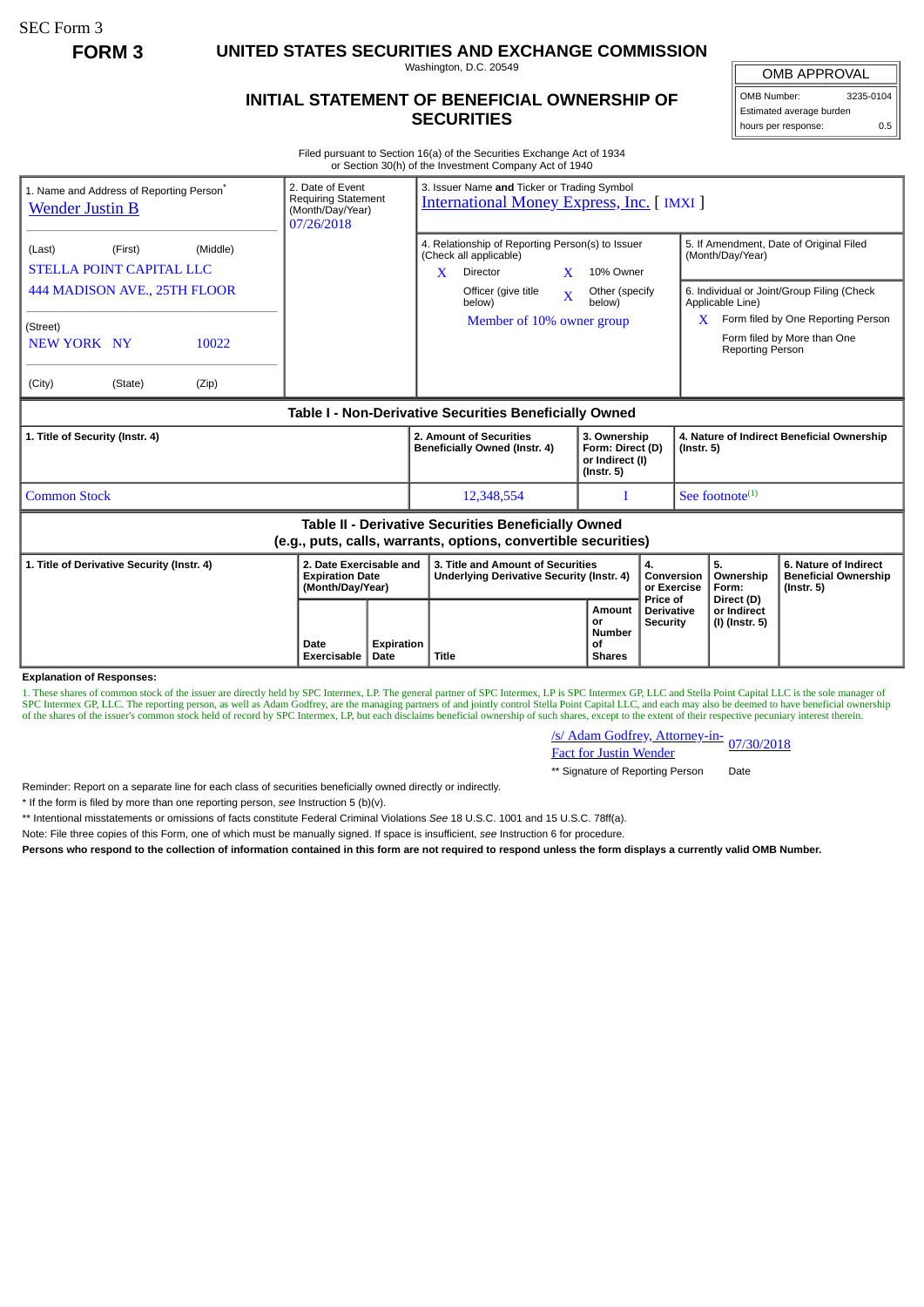SEC Form 3

**FORM 3 UNITED STATES SECURITIES AND EXCHANGE COMMISSION**

Washington, D.C. 20549

## **INITIAL STATEMENT OF BENEFICIAL OWNERSHIP OF SECURITIES**

OMB APPROVAL OMB Number: 3235-0104

Estimated average burden hours per response: 0.5

Filed pursuant to Section 16(a) of the Securities Exchange Act of 1934 or Section 30(h) of the Investment Company Act of 1940

| 2. Date of Event<br>1. Name and Address of Reporting Person <sup>®</sup><br><b>Requiring Statement</b><br><b>Wender Justin B</b><br>(Month/Day/Year)<br>07/26/2018 |                                                                       |                                   | 3. Issuer Name and Ticker or Trading Symbol<br><b>International Money Express, Inc. [IMXI]</b>                                                             |                                                                         |                                                  |                                                                |                                                                                       |  |
|--------------------------------------------------------------------------------------------------------------------------------------------------------------------|-----------------------------------------------------------------------|-----------------------------------|------------------------------------------------------------------------------------------------------------------------------------------------------------|-------------------------------------------------------------------------|--------------------------------------------------|----------------------------------------------------------------|---------------------------------------------------------------------------------------|--|
| (Middle)<br>(Last)<br>(First)<br><b>STELLA POINT CAPITAL LLC</b><br>444 MADISON AVE., 25TH FLOOR                                                                   |                                                                       | $\mathbf{x}$                      | 4. Relationship of Reporting Person(s) to Issuer<br>(Check all applicable)<br>$\mathbf{x}$<br><b>Director</b><br>Officer (give title<br>$\bar{\mathbf{X}}$ | 10% Owner<br>Other (specify                                             |                                                  | (Month/Day/Year)                                               | 5. If Amendment, Date of Original Filed<br>6. Individual or Joint/Group Filing (Check |  |
| (Street)<br>NEW YORK NY<br>10022<br>(City)<br>(Zip)<br>(State)                                                                                                     |                                                                       |                                   | below)<br>Member of 10% owner group                                                                                                                        | below)                                                                  |                                                  | Applicable Line)<br>Reporting Person                           | $X$ Form filed by One Reporting Person<br>Form filed by More than One                 |  |
|                                                                                                                                                                    |                                                                       |                                   | Table I - Non-Derivative Securities Beneficially Owned                                                                                                     |                                                                         |                                                  |                                                                |                                                                                       |  |
| 1. Title of Security (Instr. 4)                                                                                                                                    |                                                                       |                                   | 2. Amount of Securities<br>Beneficially Owned (Instr. 4)                                                                                                   | 3. Ownership<br>Form: Direct (D)<br>or Indirect (I)<br>$($ lnstr. 5 $)$ |                                                  | 4. Nature of Indirect Beneficial Ownership<br>$($ Instr. 5 $)$ |                                                                                       |  |
| <b>Common Stock</b>                                                                                                                                                |                                                                       |                                   | 12,348,554                                                                                                                                                 |                                                                         |                                                  | See footnote $(1)$                                             |                                                                                       |  |
| Table II - Derivative Securities Beneficially Owned<br>(e.g., puts, calls, warrants, options, convertible securities)                                              |                                                                       |                                   |                                                                                                                                                            |                                                                         |                                                  |                                                                |                                                                                       |  |
| 1. Title of Derivative Security (Instr. 4)                                                                                                                         | 2. Date Exercisable and<br><b>Expiration Date</b><br>(Month/Day/Year) |                                   | 3. Title and Amount of Securities<br>Underlying Derivative Security (Instr. 4)                                                                             |                                                                         | 4.<br>Conversion<br>or Exercise                  | 5.<br>Ownership<br>Form:                                       | 6. Nature of Indirect<br><b>Beneficial Ownership</b><br>$($ lnstr. 5 $)$              |  |
| <b>Explanation of Responses:</b>                                                                                                                                   | Date<br>Exercisable<br>Date                                           | <b>Expiration</b><br><b>Title</b> |                                                                                                                                                            | Amount<br>or<br><b>Number</b><br>οf<br><b>Shares</b>                    | Price of<br><b>Derivative</b><br><b>Security</b> | Direct (D)<br>or Indirect<br>(I) (Instr. 5)                    |                                                                                       |  |

**Explanation of Responses:**

1. These shares of common stock of the issuer are directly held by SPC Intermex, LP. The general partner of SPC Intermex, LP is SPC Intermex GP, LLC and Stella Point Capital LLC is the sole manager of SPC Intermex GP, LLC. The reporting person, as well as Adam Godfrey, are the managing partners of and jointly control Stella Point Capital LLC, and each may also be deemed to have beneficial ownership of the shares of the

/s/ Adam Godfrey, Attorney-in-Fact for Justin Wender 07/30/2018

\*\* Signature of Reporting Person Date

Reminder: Report on a separate line for each class of securities beneficially owned directly or indirectly.

\* If the form is filed by more than one reporting person, *see* Instruction 5 (b)(v).

\*\* Intentional misstatements or omissions of facts constitute Federal Criminal Violations *See* 18 U.S.C. 1001 and 15 U.S.C. 78ff(a).

Note: File three copies of this Form, one of which must be manually signed. If space is insufficient, *see* Instruction 6 for procedure.

**Persons who respond to the collection of information contained in this form are not required to respond unless the form displays a currently valid OMB Number.**